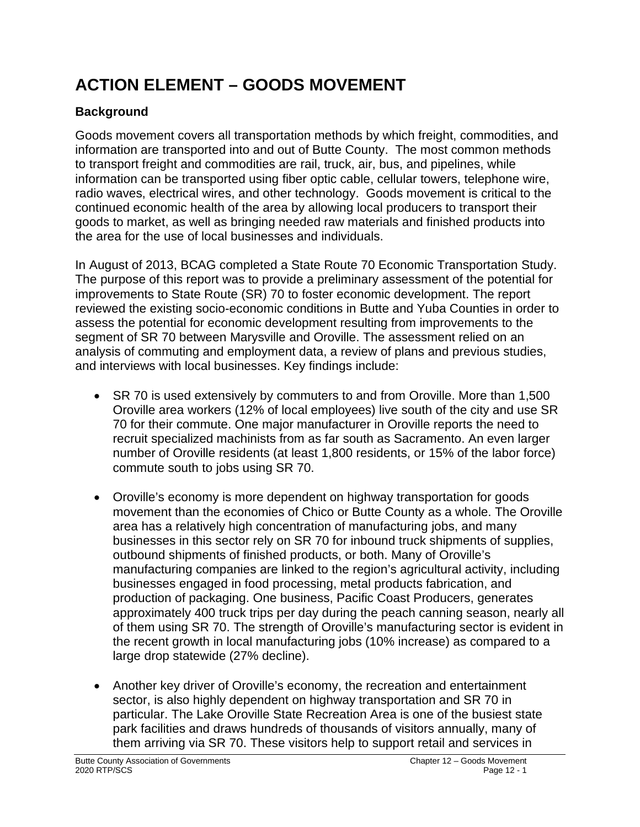# **ACTION ELEMENT – GOODS MOVEMENT**

# **Background**

Goods movement covers all transportation methods by which freight, commodities, and information are transported into and out of Butte County. The most common methods to transport freight and commodities are rail, truck, air, bus, and pipelines, while information can be transported using fiber optic cable, cellular towers, telephone wire, radio waves, electrical wires, and other technology. Goods movement is critical to the continued economic health of the area by allowing local producers to transport their goods to market, as well as bringing needed raw materials and finished products into the area for the use of local businesses and individuals.

In August of 2013, BCAG completed a State Route 70 Economic Transportation Study. The purpose of this report was to provide a preliminary assessment of the potential for improvements to State Route (SR) 70 to foster economic development. The report reviewed the existing socio-economic conditions in Butte and Yuba Counties in order to assess the potential for economic development resulting from improvements to the segment of SR 70 between Marysville and Oroville. The assessment relied on an analysis of commuting and employment data, a review of plans and previous studies, and interviews with local businesses. Key findings include:

- SR 70 is used extensively by commuters to and from Oroville. More than 1,500 Oroville area workers (12% of local employees) live south of the city and use SR 70 for their commute. One major manufacturer in Oroville reports the need to recruit specialized machinists from as far south as Sacramento. An even larger number of Oroville residents (at least 1,800 residents, or 15% of the labor force) commute south to jobs using SR 70.
- Oroville's economy is more dependent on highway transportation for goods movement than the economies of Chico or Butte County as a whole. The Oroville area has a relatively high concentration of manufacturing jobs, and many businesses in this sector rely on SR 70 for inbound truck shipments of supplies, outbound shipments of finished products, or both. Many of Oroville's manufacturing companies are linked to the region's agricultural activity, including businesses engaged in food processing, metal products fabrication, and production of packaging. One business, Pacific Coast Producers, generates approximately 400 truck trips per day during the peach canning season, nearly all of them using SR 70. The strength of Oroville's manufacturing sector is evident in the recent growth in local manufacturing jobs (10% increase) as compared to a large drop statewide (27% decline).
- Another key driver of Oroville's economy, the recreation and entertainment sector, is also highly dependent on highway transportation and SR 70 in particular. The Lake Oroville State Recreation Area is one of the busiest state park facilities and draws hundreds of thousands of visitors annually, many of them arriving via SR 70. These visitors help to support retail and services in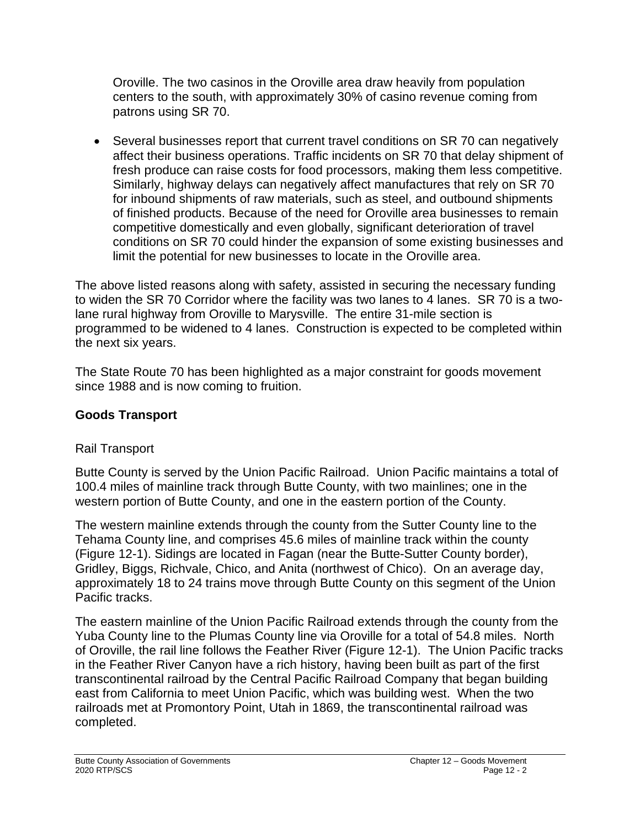Oroville. The two casinos in the Oroville area draw heavily from population centers to the south, with approximately 30% of casino revenue coming from patrons using SR 70.

• Several businesses report that current travel conditions on SR 70 can negatively affect their business operations. Traffic incidents on SR 70 that delay shipment of fresh produce can raise costs for food processors, making them less competitive. Similarly, highway delays can negatively affect manufactures that rely on SR 70 for inbound shipments of raw materials, such as steel, and outbound shipments of finished products. Because of the need for Oroville area businesses to remain competitive domestically and even globally, significant deterioration of travel conditions on SR 70 could hinder the expansion of some existing businesses and limit the potential for new businesses to locate in the Oroville area.

The above listed reasons along with safety, assisted in securing the necessary funding to widen the SR 70 Corridor where the facility was two lanes to 4 lanes. SR 70 is a twolane rural highway from Oroville to Marysville. The entire 31-mile section is programmed to be widened to 4 lanes. Construction is expected to be completed within the next six years.

The State Route 70 has been highlighted as a major constraint for goods movement since 1988 and is now coming to fruition.

# **Goods Transport**

# Rail Transport

Butte County is served by the Union Pacific Railroad. Union Pacific maintains a total of 100.4 miles of mainline track through Butte County, with two mainlines; one in the western portion of Butte County, and one in the eastern portion of the County.

The western mainline extends through the county from the Sutter County line to the Tehama County line, and comprises 45.6 miles of mainline track within the county (Figure 12-1). Sidings are located in Fagan (near the Butte-Sutter County border), Gridley, Biggs, Richvale, Chico, and Anita (northwest of Chico). On an average day, approximately 18 to 24 trains move through Butte County on this segment of the Union Pacific tracks.

The eastern mainline of the Union Pacific Railroad extends through the county from the Yuba County line to the Plumas County line via Oroville for a total of 54.8 miles. North of Oroville, the rail line follows the Feather River (Figure 12-1). The Union Pacific tracks in the Feather River Canyon have a rich history, having been built as part of the first transcontinental railroad by the Central Pacific Railroad Company that began building east from California to meet Union Pacific, which was building west. When the two railroads met at Promontory Point, Utah in 1869, the transcontinental railroad was completed.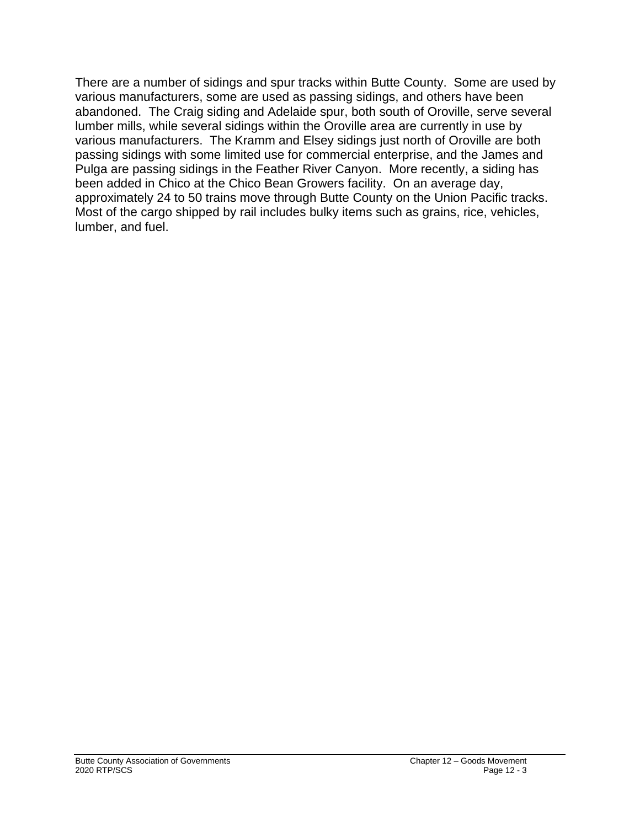There are a number of sidings and spur tracks within Butte County. Some are used by various manufacturers, some are used as passing sidings, and others have been abandoned. The Craig siding and Adelaide spur, both south of Oroville, serve several lumber mills, while several sidings within the Oroville area are currently in use by various manufacturers. The Kramm and Elsey sidings just north of Oroville are both passing sidings with some limited use for commercial enterprise, and the James and Pulga are passing sidings in the Feather River Canyon. More recently, a siding has been added in Chico at the Chico Bean Growers facility. On an average day, approximately 24 to 50 trains move through Butte County on the Union Pacific tracks. Most of the cargo shipped by rail includes bulky items such as grains, rice, vehicles, lumber, and fuel.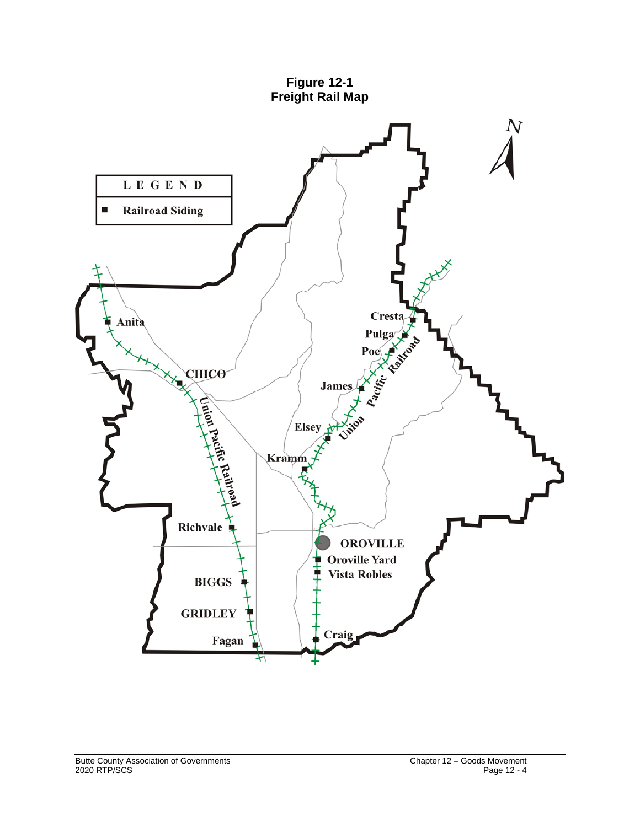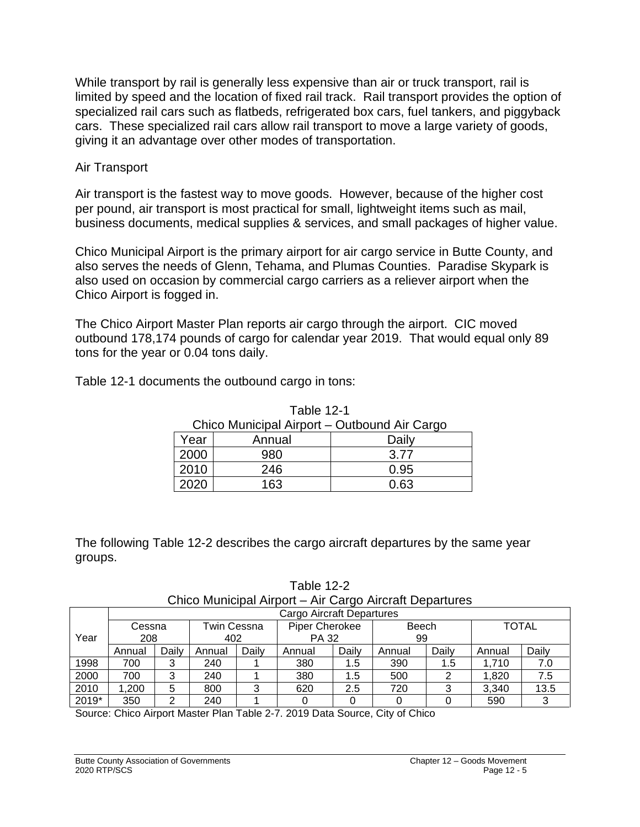While transport by rail is generally less expensive than air or truck transport, rail is limited by speed and the location of fixed rail track. Rail transport provides the option of specialized rail cars such as flatbeds, refrigerated box cars, fuel tankers, and piggyback cars. These specialized rail cars allow rail transport to move a large variety of goods, giving it an advantage over other modes of transportation.

## Air Transport

Air transport is the fastest way to move goods. However, because of the higher cost per pound, air transport is most practical for small, lightweight items such as mail, business documents, medical supplies & services, and small packages of higher value.

Chico Municipal Airport is the primary airport for air cargo service in Butte County, and also serves the needs of Glenn, Tehama, and Plumas Counties. Paradise Skypark is also used on occasion by commercial cargo carriers as a reliever airport when the Chico Airport is fogged in.

The Chico Airport Master Plan reports air cargo through the airport. CIC moved outbound 178,174 pounds of cargo for calendar year 2019. That would equal only 89 tons for the year or 0.04 tons daily.

Table 12-1 documents the outbound cargo in tons:

| Chico Municipal Airport – Outbound Air Cargo |        |       |  |  |
|----------------------------------------------|--------|-------|--|--|
| Year                                         | Annual | Daily |  |  |
| 2000                                         | 980    | 3.77  |  |  |
| 2010                                         | 246    | 0.95  |  |  |
| 2020                                         | 163    | 0.63  |  |  |

Table 12-1

The following Table 12-2 describes the cargo aircraft departures by the same year groups.

Table 12-2 Chico Municipal Airport – Air Cargo Aircraft Departures

|       | Cargo Aircraft Departures |       |        |                                      |              |       |        |       |              |       |
|-------|---------------------------|-------|--------|--------------------------------------|--------------|-------|--------|-------|--------------|-------|
|       | Cessna                    |       |        | <b>Piper Cherokee</b><br>Twin Cessna |              |       | Beech  |       | <b>TOTAL</b> |       |
| Year  | 208                       |       | 402    |                                      | <b>PA 32</b> |       | 99     |       |              |       |
|       | Annual                    | Daily | Annual | Daily                                | Annual       | Daily | Annual | Daily | Annual       | Daily |
| 1998  | 700                       | 3     | 240    |                                      | 380          | 1.5   | 390    | 1.5   | 1.710        | 7.0   |
| 2000  | 700                       | 3     | 240    |                                      | 380          | 1.5   | 500    |       | 1,820        | 7.5   |
| 2010  | ,200                      | 5     | 800    |                                      | 620          | 2.5   | 720    | 3     | 3.340        | 13.5  |
| 2019* | 350                       | ົ     | 240    |                                      |              |       |        |       | 590          |       |

Source: Chico Airport Master Plan Table 2-7. 2019 Data Source, City of Chico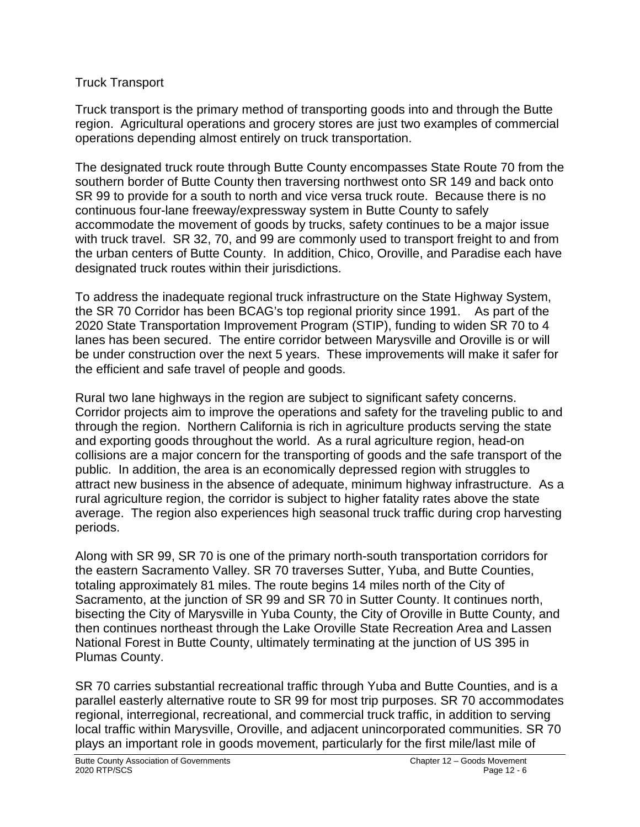## Truck Transport

Truck transport is the primary method of transporting goods into and through the Butte region. Agricultural operations and grocery stores are just two examples of commercial operations depending almost entirely on truck transportation.

The designated truck route through Butte County encompasses State Route 70 from the southern border of Butte County then traversing northwest onto SR 149 and back onto SR 99 to provide for a south to north and vice versa truck route. Because there is no continuous four-lane freeway/expressway system in Butte County to safely accommodate the movement of goods by trucks, safety continues to be a major issue with truck travel. SR 32, 70, and 99 are commonly used to transport freight to and from the urban centers of Butte County. In addition, Chico, Oroville, and Paradise each have designated truck routes within their jurisdictions.

To address the inadequate regional truck infrastructure on the State Highway System, the SR 70 Corridor has been BCAG's top regional priority since 1991. As part of the 2020 State Transportation Improvement Program (STIP), funding to widen SR 70 to 4 lanes has been secured. The entire corridor between Marysville and Oroville is or will be under construction over the next 5 years. These improvements will make it safer for the efficient and safe travel of people and goods.

Rural two lane highways in the region are subject to significant safety concerns. Corridor projects aim to improve the operations and safety for the traveling public to and through the region. Northern California is rich in agriculture products serving the state and exporting goods throughout the world. As a rural agriculture region, head-on collisions are a major concern for the transporting of goods and the safe transport of the public. In addition, the area is an economically depressed region with struggles to attract new business in the absence of adequate, minimum highway infrastructure. As a rural agriculture region, the corridor is subject to higher fatality rates above the state average. The region also experiences high seasonal truck traffic during crop harvesting periods.

Along with SR 99, SR 70 is one of the primary north-south transportation corridors for the eastern Sacramento Valley. SR 70 traverses Sutter, Yuba, and Butte Counties, totaling approximately 81 miles. The route begins 14 miles north of the City of Sacramento, at the junction of SR 99 and SR 70 in Sutter County. It continues north, bisecting the City of Marysville in Yuba County, the City of Oroville in Butte County, and then continues northeast through the Lake Oroville State Recreation Area and Lassen National Forest in Butte County, ultimately terminating at the junction of US 395 in Plumas County.

SR 70 carries substantial recreational traffic through Yuba and Butte Counties, and is a parallel easterly alternative route to SR 99 for most trip purposes. SR 70 accommodates regional, interregional, recreational, and commercial truck traffic, in addition to serving local traffic within Marysville, Oroville, and adjacent unincorporated communities. SR 70 plays an important role in goods movement, particularly for the first mile/last mile of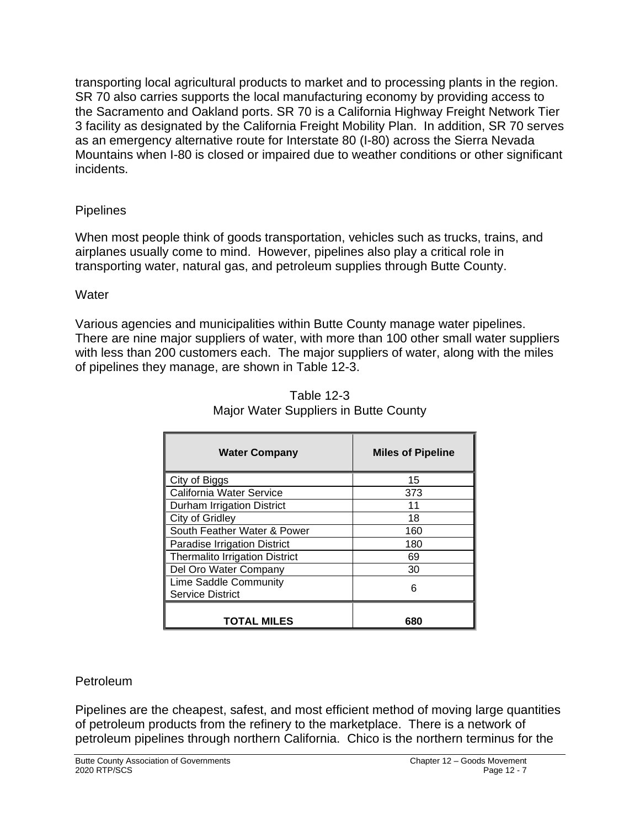transporting local agricultural products to market and to processing plants in the region. SR 70 also carries supports the local manufacturing economy by providing access to the Sacramento and Oakland ports. SR 70 is a California Highway Freight Network Tier 3 facility as designated by the California Freight Mobility Plan. In addition, SR 70 serves as an emergency alternative route for Interstate 80 (I-80) across the Sierra Nevada Mountains when I-80 is closed or impaired due to weather conditions or other significant incidents.

# **Pipelines**

When most people think of goods transportation, vehicles such as trucks, trains, and airplanes usually come to mind. However, pipelines also play a critical role in transporting water, natural gas, and petroleum supplies through Butte County.

# **Water**

Various agencies and municipalities within Butte County manage water pipelines. There are nine major suppliers of water, with more than 100 other small water suppliers with less than 200 customers each. The major suppliers of water, along with the miles of pipelines they manage, are shown in Table 12-3.

| <b>Water Company</b>                             | <b>Miles of Pipeline</b> |
|--------------------------------------------------|--------------------------|
| City of Biggs                                    | 15                       |
| California Water Service                         | 373                      |
| Durham Irrigation District                       | 11                       |
| City of Gridley                                  | 18                       |
| South Feather Water & Power                      | 160                      |
| Paradise Irrigation District                     | 180                      |
| <b>Thermalito Irrigation District</b>            | 69                       |
| Del Oro Water Company                            | 30                       |
| Lime Saddle Community<br><b>Service District</b> | 6                        |
| <b>TOTAL MILES</b>                               | 680                      |

| <b>Table 12-3</b>                     |
|---------------------------------------|
| Major Water Suppliers in Butte County |

# **Petroleum**

Pipelines are the cheapest, safest, and most efficient method of moving large quantities of petroleum products from the refinery to the marketplace. There is a network of petroleum pipelines through northern California. Chico is the northern terminus for the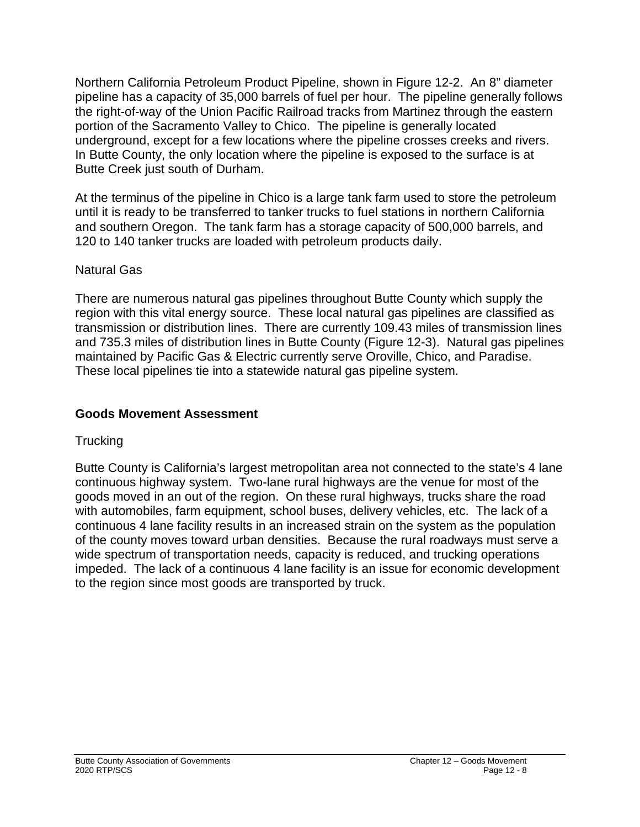Northern California Petroleum Product Pipeline, shown in Figure 12-2. An 8" diameter pipeline has a capacity of 35,000 barrels of fuel per hour. The pipeline generally follows the right-of-way of the Union Pacific Railroad tracks from Martinez through the eastern portion of the Sacramento Valley to Chico. The pipeline is generally located underground, except for a few locations where the pipeline crosses creeks and rivers. In Butte County, the only location where the pipeline is exposed to the surface is at Butte Creek just south of Durham.

At the terminus of the pipeline in Chico is a large tank farm used to store the petroleum until it is ready to be transferred to tanker trucks to fuel stations in northern California and southern Oregon. The tank farm has a storage capacity of 500,000 barrels, and 120 to 140 tanker trucks are loaded with petroleum products daily.

#### Natural Gas

There are numerous natural gas pipelines throughout Butte County which supply the region with this vital energy source. These local natural gas pipelines are classified as transmission or distribution lines. There are currently 109.43 miles of transmission lines and 735.3 miles of distribution lines in Butte County (Figure 12-3). Natural gas pipelines maintained by Pacific Gas & Electric currently serve Oroville, Chico, and Paradise. These local pipelines tie into a statewide natural gas pipeline system.

## **Goods Movement Assessment**

#### **Trucking**

Butte County is California's largest metropolitan area not connected to the state's 4 lane continuous highway system. Two-lane rural highways are the venue for most of the goods moved in an out of the region. On these rural highways, trucks share the road with automobiles, farm equipment, school buses, delivery vehicles, etc. The lack of a continuous 4 lane facility results in an increased strain on the system as the population of the county moves toward urban densities. Because the rural roadways must serve a wide spectrum of transportation needs, capacity is reduced, and trucking operations impeded. The lack of a continuous 4 lane facility is an issue for economic development to the region since most goods are transported by truck.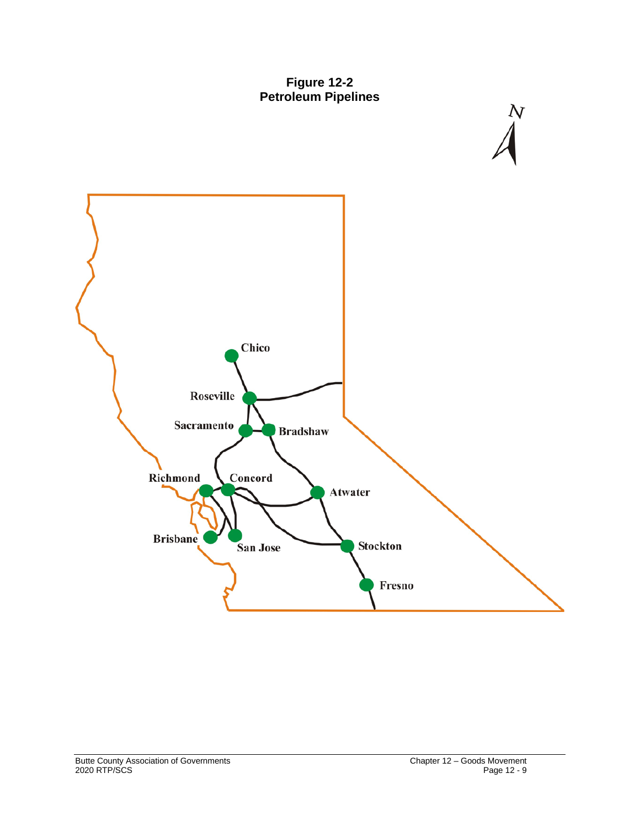



 $\frac{N}{4}$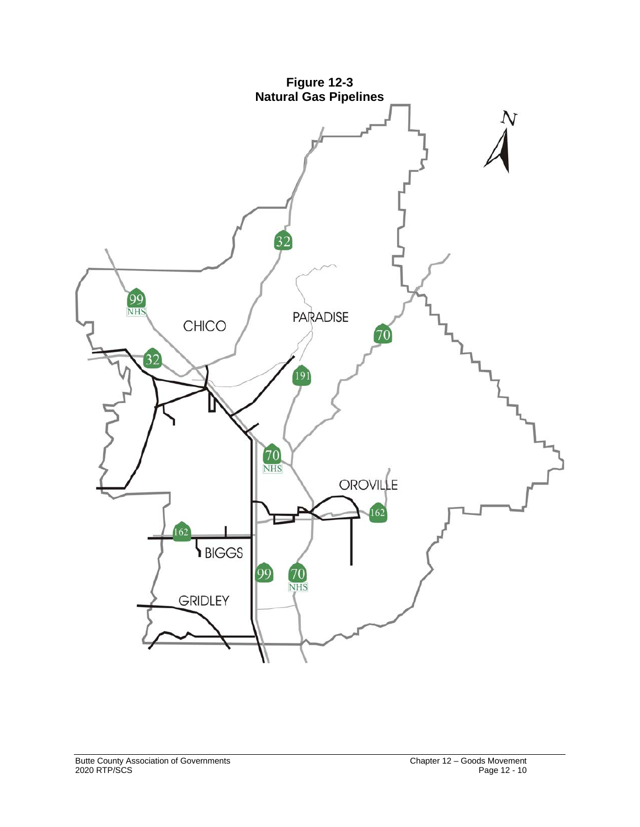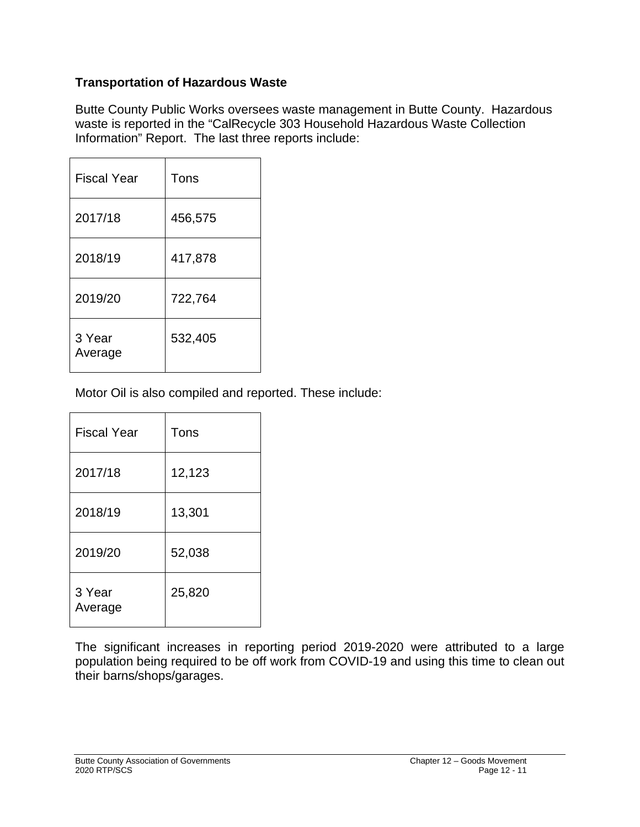# **Transportation of Hazardous Waste**

Butte County Public Works oversees waste management in Butte County. Hazardous waste is reported in the "CalRecycle 303 Household Hazardous Waste Collection Information" Report. The last three reports include:

| <b>Fiscal Year</b> | Tons    |
|--------------------|---------|
| 2017/18            | 456,575 |
| 2018/19            | 417,878 |
| 2019/20            | 722,764 |
| 3 Year<br>Average  | 532,405 |

Motor Oil is also compiled and reported. These include:

| <b>Fiscal Year</b> | Tons   |
|--------------------|--------|
| 2017/18            | 12,123 |
| 2018/19            | 13,301 |
| 2019/20            | 52,038 |
| 3 Year<br>Average  | 25,820 |

The significant increases in reporting period 2019-2020 were attributed to a large population being required to be off work from COVID-19 and using this time to clean out their barns/shops/garages.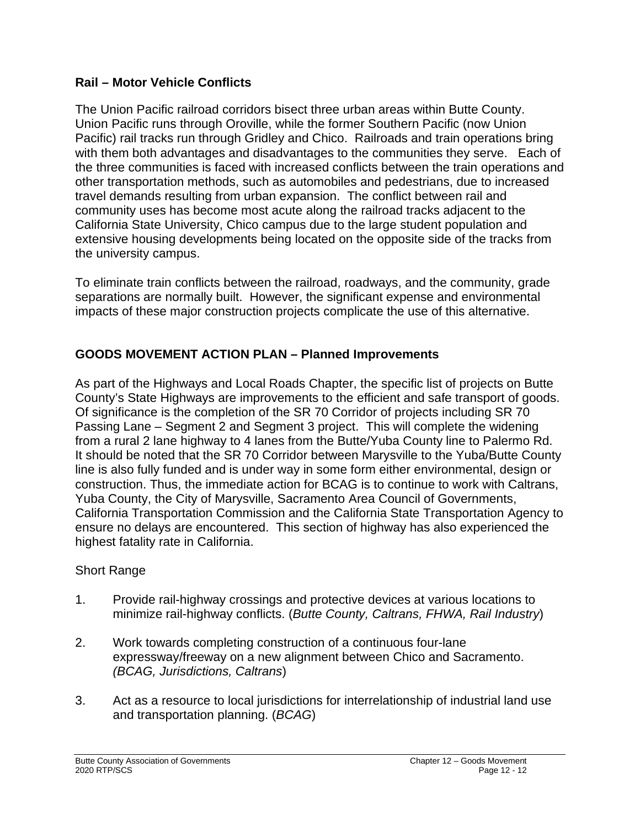## **Rail – Motor Vehicle Conflicts**

The Union Pacific railroad corridors bisect three urban areas within Butte County. Union Pacific runs through Oroville, while the former Southern Pacific (now Union Pacific) rail tracks run through Gridley and Chico. Railroads and train operations bring with them both advantages and disadvantages to the communities they serve. Each of the three communities is faced with increased conflicts between the train operations and other transportation methods, such as automobiles and pedestrians, due to increased travel demands resulting from urban expansion. The conflict between rail and community uses has become most acute along the railroad tracks adjacent to the California State University, Chico campus due to the large student population and extensive housing developments being located on the opposite side of the tracks from the university campus.

To eliminate train conflicts between the railroad, roadways, and the community, grade separations are normally built. However, the significant expense and environmental impacts of these major construction projects complicate the use of this alternative.

# **GOODS MOVEMENT ACTION PLAN – Planned Improvements**

As part of the Highways and Local Roads Chapter, the specific list of projects on Butte County's State Highways are improvements to the efficient and safe transport of goods. Of significance is the completion of the SR 70 Corridor of projects including SR 70 Passing Lane – Segment 2 and Segment 3 project. This will complete the widening from a rural 2 lane highway to 4 lanes from the Butte/Yuba County line to Palermo Rd. It should be noted that the SR 70 Corridor between Marysville to the Yuba/Butte County line is also fully funded and is under way in some form either environmental, design or construction. Thus, the immediate action for BCAG is to continue to work with Caltrans, Yuba County, the City of Marysville, Sacramento Area Council of Governments, California Transportation Commission and the California State Transportation Agency to ensure no delays are encountered. This section of highway has also experienced the highest fatality rate in California.

#### Short Range

- 1. Provide rail-highway crossings and protective devices at various locations to minimize rail-highway conflicts. (*Butte County, Caltrans, FHWA, Rail Industry*)
- 2. Work towards completing construction of a continuous four-lane expressway/freeway on a new alignment between Chico and Sacramento. *(BCAG, Jurisdictions, Caltrans*)
- 3. Act as a resource to local jurisdictions for interrelationship of industrial land use and transportation planning. (*BCAG*)